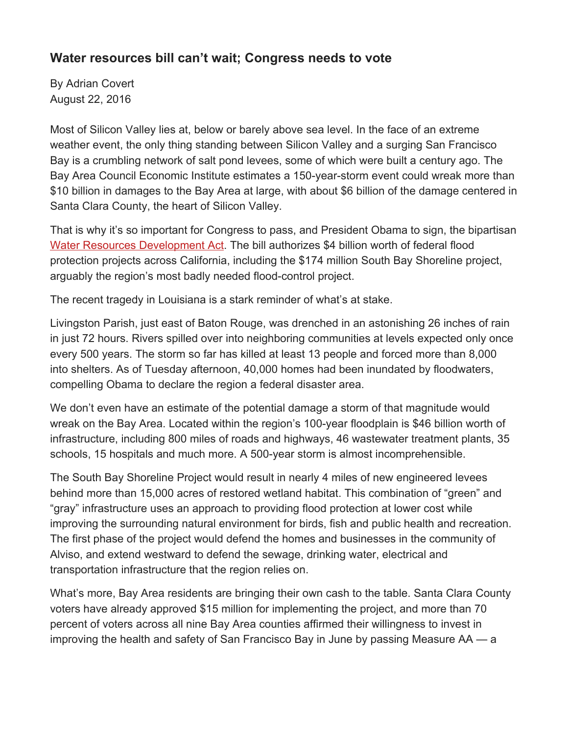## **Water resources bill can't wait; Congress needs to vote**

By Adrian Covert August 22, 2016

Most of Silicon Valley lies at, below or barely above sea level. In the face of an extreme weather event, the only thing standing between Silicon Valley and a surging San Francisco Bay is a crumbling network of salt pond levees, some of which were built a century ago. The Bay Area Council Economic Institute estimates a 150-year-storm event could wreak more than \$10 billion in damages to the Bay Area at large, with about \$6 billion of the damage centered in Santa Clara County, the heart of Silicon Valley.

That is why it's so important for Congress to pass, and President Obama to sign, the bipartisan [Water Resources Development Act.](https://www.congress.gov/bill/114th-congress/senate-bill/2848/all-actions?overview=closed#tabs) The bill authorizes \$4 billion worth of federal flood protection projects across California, including the \$174 million South Bay Shoreline project, arguably the region's most badly needed flood-control project.

The recent tragedy in Louisiana is a stark reminder of what's at stake.

Livingston Parish, just east of Baton Rouge, was drenched in an astonishing 26 inches of rain in just 72 hours. Rivers spilled over into neighboring communities at levels expected only once every 500 years. The storm so far has killed at least 13 people and forced more than 8,000 into shelters. As of Tuesday afternoon, 40,000 homes had been inundated by floodwaters, compelling Obama to declare the region a federal disaster area.

We don't even have an estimate of the potential damage a storm of that magnitude would wreak on the Bay Area. Located within the region's 100-year floodplain is \$46 billion worth of infrastructure, including 800 miles of roads and highways, 46 wastewater treatment plants, 35 schools, 15 hospitals and much more. A 500-year storm is almost incomprehensible.

The South Bay Shoreline Project would result in nearly 4 miles of new engineered levees behind more than 15,000 acres of restored wetland habitat. This combination of "green" and "gray" infrastructure uses an approach to providing flood protection at lower cost while improving the surrounding natural environment for birds, fish and public health and recreation. The first phase of the project would defend the homes and businesses in the community of Alviso, and extend westward to defend the sewage, drinking water, electrical and transportation infrastructure that the region relies on.

What's more, Bay Area residents are bringing their own cash to the table. Santa Clara County voters have already approved \$15 million for implementing the project, and more than 70 percent of voters across all nine Bay Area counties affirmed their willingness to invest in improving the health and safety of San Francisco Bay in June by passing Measure AA — a